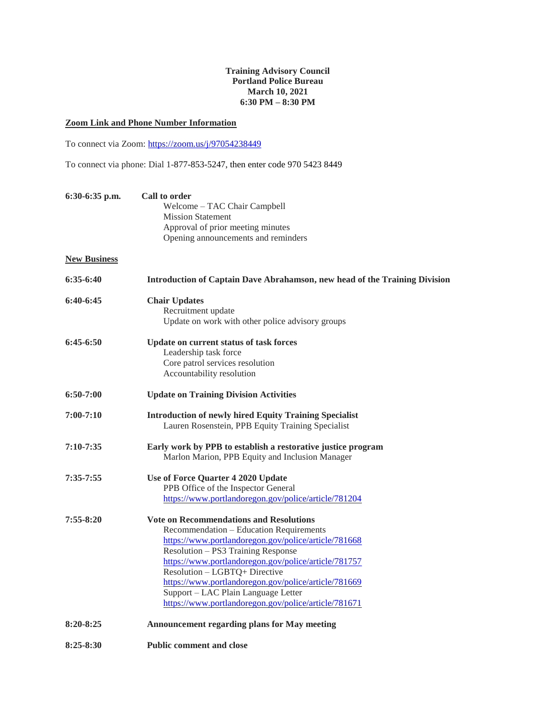## **Training Advisory Council Portland Police Bureau March 10, 2021 6:30 PM – 8:30 PM**

## **Zoom Link and Phone Number Information**

To connect via Zoom: <https://zoom.us/j/97054238449>

To connect via phone: Dial 1-877-853-5247, then enter code 970 5423 8449

| 6:30-6:35 p.m.      | Call to order                                                              |
|---------------------|----------------------------------------------------------------------------|
|                     | Welcome - TAC Chair Campbell                                               |
|                     | <b>Mission Statement</b>                                                   |
|                     | Approval of prior meeting minutes                                          |
|                     | Opening announcements and reminders                                        |
| <b>New Business</b> |                                                                            |
| $6:35-6:40$         | Introduction of Captain Dave Abrahamson, new head of the Training Division |
| $6:40-6:45$         | <b>Chair Updates</b>                                                       |
|                     | Recruitment update                                                         |
|                     | Update on work with other police advisory groups                           |
| $6:45-6:50$         | Update on current status of task forces                                    |
|                     | Leadership task force                                                      |
|                     | Core patrol services resolution                                            |
|                     | Accountability resolution                                                  |
| $6:50-7:00$         | <b>Update on Training Division Activities</b>                              |
| $7:00-7:10$         | <b>Introduction of newly hired Equity Training Specialist</b>              |
|                     | Lauren Rosenstein, PPB Equity Training Specialist                          |
| $7:10 - 7:35$       | Early work by PPB to establish a restorative justice program               |
|                     | Marlon Marion, PPB Equity and Inclusion Manager                            |
| $7:35 - 7:55$       | Use of Force Quarter 4 2020 Update                                         |
|                     | PPB Office of the Inspector General                                        |
|                     | https://www.portlandoregon.gov/police/article/781204                       |
| $7:55 - 8:20$       | <b>Vote on Recommendations and Resolutions</b>                             |
|                     | Recommendation - Education Requirements                                    |
|                     | https://www.portlandoregon.gov/police/article/781668                       |
|                     | Resolution - PS3 Training Response                                         |
|                     | https://www.portlandoregon.gov/police/article/781757                       |
|                     | Resolution - LGBTQ+ Directive                                              |
|                     | https://www.portlandoregon.gov/police/article/781669                       |
|                     | Support - LAC Plain Language Letter                                        |
|                     | https://www.portlandoregon.gov/police/article/781671                       |
| $8:20 - 8:25$       | <b>Announcement regarding plans for May meeting</b>                        |
| $8:25 - 8:30$       | <b>Public comment and close</b>                                            |